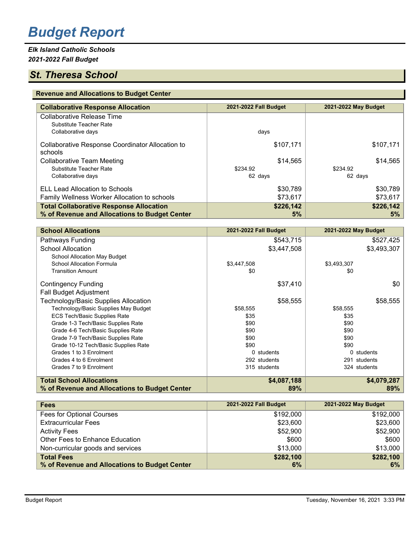# *Budget Report*

# *Elk Island Catholic Schools 2021-2022 Fall Budget*

# *St. Theresa School*

#### **Revenue and Allocations to Budget Center**

| <b>Collaborative Response Allocation</b>                    | 2021-2022 Fall Budget | 2021-2022 May Budget |
|-------------------------------------------------------------|-----------------------|----------------------|
| <b>Collaborative Release Time</b>                           |                       |                      |
| Substitute Teacher Rate                                     |                       |                      |
| Collaborative days                                          | days                  |                      |
| Collaborative Response Coordinator Allocation to<br>schools | \$107,171             | \$107,171            |
| <b>Collaborative Team Meeting</b>                           | \$14,565              | \$14,565             |
| Substitute Teacher Rate                                     | \$234.92              | \$234.92             |
| Collaborative days                                          | 62 days               | 62 days              |
| ELL Lead Allocation to Schools                              | \$30,789              | \$30,789             |
| Family Wellness Worker Allocation to schools                | \$73,617              | \$73,617             |
| <b>Total Collaborative Response Allocation</b>              | \$226,142             | \$226,142            |
| % of Revenue and Allocations to Budget Center               | 5%                    | $5\%$                |

| <b>School Allocations</b>                     | 2021-2022 Fall Budget | 2021-2022 May Budget |
|-----------------------------------------------|-----------------------|----------------------|
| Pathways Funding                              | \$543,715             | \$527,425            |
| <b>School Allocation</b>                      | \$3,447,508           | \$3,493,307          |
| School Allocation May Budget                  |                       |                      |
| School Allocation Formula                     | \$3,447,508           | \$3,493,307          |
| <b>Transition Amount</b>                      | \$0                   | \$0                  |
| <b>Contingency Funding</b>                    | \$37,410              | \$0                  |
| <b>Fall Budget Adjustment</b>                 |                       |                      |
| Technology/Basic Supplies Allocation          | \$58,555              | \$58,555             |
| Technology/Basic Supplies May Budget          | \$58,555              | \$58,555             |
| <b>ECS Tech/Basic Supplies Rate</b>           | \$35                  | \$35                 |
| Grade 1-3 Tech/Basic Supplies Rate            | \$90                  | \$90                 |
| Grade 4-6 Tech/Basic Supplies Rate            | \$90                  | \$90                 |
| Grade 7-9 Tech/Basic Supplies Rate            | \$90                  | \$90                 |
| Grade 10-12 Tech/Basic Supplies Rate          | \$90                  | \$90                 |
| Grades 1 to 3 Enrolment                       | 0 students            | 0 students           |
| Grades 4 to 6 Enrolment                       | 292 students          | 291 students         |
| Grades 7 to 9 Enrolment                       | 315 students          | 324 students         |
| <b>Total School Allocations</b>               | \$4,087,188           | \$4,079,287          |
| % of Revenue and Allocations to Budget Center | 89%                   | 89%                  |

| <b>Fees</b>                                   | 2021-2022 Fall Budget | 2021-2022 May Budget |
|-----------------------------------------------|-----------------------|----------------------|
| Fees for Optional Courses                     | \$192,000             | \$192,000            |
| <b>Extracurricular Fees</b>                   | \$23,600              | \$23,600             |
| <b>Activity Fees</b>                          | \$52,900              | \$52,900             |
| Other Fees to Enhance Education               | \$600                 | \$600                |
| Non-curricular goods and services             | \$13,000              | \$13,000             |
| <b>Total Fees</b>                             | \$282,100             | \$282,100            |
| % of Revenue and Allocations to Budget Center | 6%                    | $6\%$                |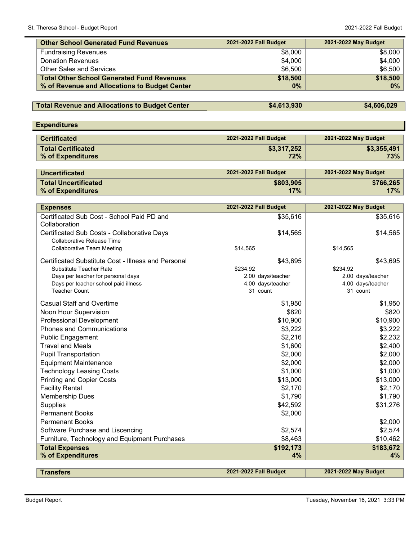| <b>Other School Generated Fund Revenues</b>       | 2021-2022 Fall Budget | 2021-2022 May Budget |
|---------------------------------------------------|-----------------------|----------------------|
| <b>Fundraising Revenues</b>                       | \$8,000               | \$8,000              |
| <b>Donation Revenues</b>                          | \$4,000               | \$4,000              |
| <b>Other Sales and Services</b>                   | \$6,500               | \$6,500              |
| <b>Total Other School Generated Fund Revenues</b> | \$18,500              | \$18,500             |
| % of Revenue and Allocations to Budget Center     | 0%                    | $0\%$                |

# **Total Revenue and Allocations to Budget Center \$4,613,930 \$4,613,930 \$4,606,029**

| <b>Expenditures</b>       |                       |                      |
|---------------------------|-----------------------|----------------------|
| <b>Certificated</b>       | 2021-2022 Fall Budget | 2021-2022 May Budget |
| <b>Total Certificated</b> | \$3,317,252           | \$3,355,491          |
| % of Expenditures         | 72%                   | 73%                  |
|                           |                       |                      |

| <b>Uncertificated</b>  | 2021-2022 Fall Budget | 2021-2022 May Budget |
|------------------------|-----------------------|----------------------|
| ∣ Total Uncertificated | \$803,905             | \$766,265            |
| % of Expenditures      | 17%                   | 17%                  |

| <b>Expenses</b>                                                           | 2021-2022 Fall Budget | 2021-2022 May Budget |
|---------------------------------------------------------------------------|-----------------------|----------------------|
| Certificated Sub Cost - School Paid PD and<br>Collaboration               | \$35,616              | \$35,616             |
| Certificated Sub Costs - Collaborative Days<br>Collaborative Release Time | \$14,565              | \$14,565             |
| <b>Collaborative Team Meeting</b>                                         | \$14,565              | \$14,565             |
| Certificated Substitute Cost - Illness and Personal                       | \$43,695              | \$43,695             |
| Substitute Teacher Rate                                                   | \$234.92              | \$234.92             |
| Days per teacher for personal days                                        | 2.00 days/teacher     | 2.00 days/teacher    |
| Days per teacher school paid illness                                      | 4.00 days/teacher     | 4.00 days/teacher    |
| <b>Teacher Count</b>                                                      | 31 count              | 31 count             |
| <b>Casual Staff and Overtime</b>                                          | \$1,950               | \$1,950              |
| Noon Hour Supervision                                                     | \$820                 | \$820                |
| <b>Professional Development</b>                                           | \$10,900              | \$10,900             |
| <b>Phones and Communications</b>                                          | \$3,222               | \$3,222              |
| <b>Public Engagement</b>                                                  | \$2,216               | \$2,232              |
| <b>Travel and Meals</b>                                                   | \$1,600               | \$2,400              |
| <b>Pupil Transportation</b>                                               | \$2,000               | \$2,000              |
| <b>Equipment Maintenance</b>                                              | \$2,000               | \$2,000              |
| <b>Technology Leasing Costs</b>                                           | \$1,000               | \$1,000              |
| <b>Printing and Copier Costs</b>                                          | \$13,000              | \$13,000             |
| <b>Facility Rental</b>                                                    | \$2,170               | \$2,170              |
| <b>Membership Dues</b>                                                    | \$1,790               | \$1,790              |
| <b>Supplies</b>                                                           | \$42,592              | \$31,276             |
| <b>Permanent Books</b>                                                    | \$2,000               |                      |
| <b>Permenant Books</b>                                                    |                       | \$2,000              |
| Software Purchase and Liscencing                                          | \$2,574               | \$2,574              |
| Furniture, Technology and Equipment Purchases                             | \$8,463               | \$10,462             |
| <b>Total Expenses</b>                                                     | \$192,173             | \$183,672            |
| % of Expenditures                                                         | 4%                    | 4%                   |
|                                                                           |                       |                      |
| <b>Transfers</b>                                                          | 2021-2022 Fall Budget | 2021-2022 May Budget |